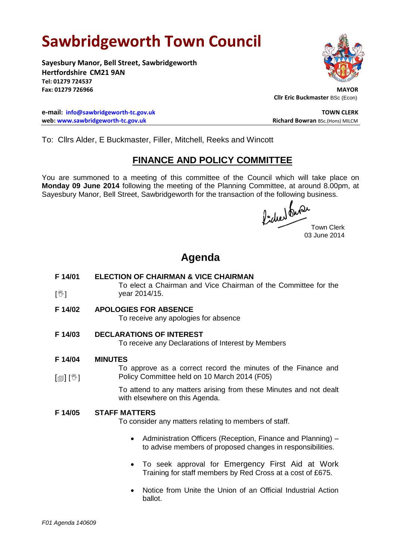# **Sawbridgeworth Town Council**

**Sayesbury Manor, Bell Street, Sawbridgeworth Hertfordshire CM21 9AN Tel: 01279 724537** Fax: 01279 726966

**e-mail: [info@sawbridgeworth-tc.gov.uk](mailto:info@sawbridgeworth-tc.gov.uk) TOWN CLERK web:** www.sawbridgeworth-tc.gov.uk **Richard Bowran** BSc.(Hons) MILCM



**Cllr Eric Buckmaster** BSc (Econ)

To: Cllrs Alder, E Buckmaster, Filler, Mitchell, Reeks and Wincott

### **FINANCE AND POLICY COMMITTEE**

You are summoned to a meeting of this committee of the Council which will take place on **Monday 09 June 2014** following the meeting of the Planning Committee, at around 8.00pm, at Sayesbury Manor, Bell Street, Sawbridgeworth for the transaction of the following business.

fided our Town Clerk

03 June 2014

## **Agenda**

#### **F 14/01 ELECTION OF CHAIRMAN & VICE CHAIRMAN**

 $\mathbb{I}^{\mathbb{M}}$ To elect a Chairman and Vice Chairman of the Committee for the year 2014/15.

**F 14/02 APOLOGIES FOR ABSENCE**

To receive any apologies for absence

**F 14/03 DECLARATIONS OF INTEREST**

To receive any Declarations of Interest by Members

**F 14/04 MINUTES**

[1] [��] To approve as a correct record the minutes of the Finance and Policy Committee held on 10 March 2014 (F05)

> To attend to any matters arising from these Minutes and not dealt with elsewhere on this Agenda.

#### **F 14/05 STAFF MATTERS**

To consider any matters relating to members of staff.

- Administration Officers (Reception, Finance and Planning) to advise members of proposed changes in responsibilities.
- To seek approval for Emergency First Aid at Work Training for staff members by Red Cross at a cost of £675.
- Notice from Unite the Union of an Official Industrial Action ballot.